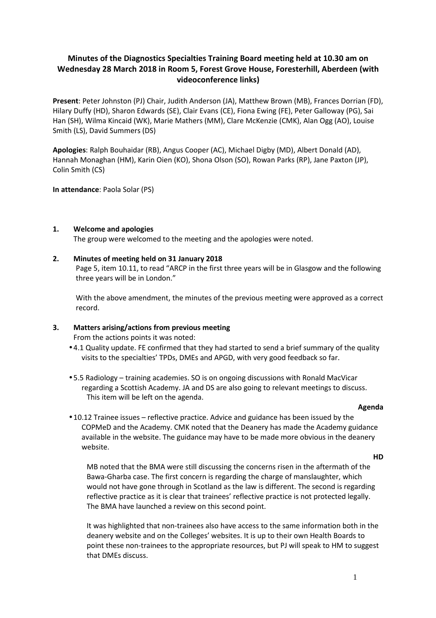# **Minutes of the Diagnostics Specialties Training Board meeting held at 10.30 am on Wednesday 28 March 2018 in Room 5, Forest Grove House, Foresterhill, Aberdeen (with videoconference links)**

**Present**: Peter Johnston (PJ) Chair, Judith Anderson (JA), Matthew Brown (MB), Frances Dorrian (FD), Hilary Duffy (HD), Sharon Edwards (SE), Clair Evans (CE), Fiona Ewing (FE), Peter Galloway (PG), Sai Han (SH), Wilma Kincaid (WK), Marie Mathers (MM), Clare McKenzie (CMK), Alan Ogg (AO), Louise Smith (LS), David Summers (DS)

**Apologies**: Ralph Bouhaidar (RB), Angus Cooper (AC), Michael Digby (MD), Albert Donald (AD), Hannah Monaghan (HM), Karin Oien (KO), Shona Olson (SO), Rowan Parks (RP), Jane Paxton (JP), Colin Smith (CS)

**In attendance**: Paola Solar (PS)

#### **1. Welcome and apologies**

The group were welcomed to the meeting and the apologies were noted.

#### **2. Minutes of meeting held on 31 January 2018**

Page 5, item 10.11, to read "ARCP in the first three years will be in Glasgow and the following three years will be in London."

With the above amendment, the minutes of the previous meeting were approved as a correct record.

#### **3. Matters arising/actions from previous meeting**

From the actions points it was noted:

- 4.1 Quality update. FE confirmed that they had started to send a brief summary of the quality visits to the specialties' TPDs, DMEs and APGD, with very good feedback so far.
- 5.5 Radiology training academies. SO is on ongoing discussions with Ronald MacVicar regarding a Scottish Academy. JA and DS are also going to relevant meetings to discuss. This item will be left on the agenda.

#### **Agenda**

• 10.12 Trainee issues – reflective practice. Advice and guidance has been issued by the COPMeD and the Academy. CMK noted that the Deanery has made the Academy guidance available in the website. The guidance may have to be made more obvious in the deanery website.

**HD** 

MB noted that the BMA were still discussing the concerns risen in the aftermath of the Bawa-Gharba case. The first concern is regarding the charge of manslaughter, which would not have gone through in Scotland as the law is different. The second is regarding reflective practice as it is clear that trainees' reflective practice is not protected legally. The BMA have launched a review on this second point.

It was highlighted that non-trainees also have access to the same information both in the deanery website and on the Colleges' websites. It is up to their own Health Boards to point these non-trainees to the appropriate resources, but PJ will speak to HM to suggest that DMEs discuss.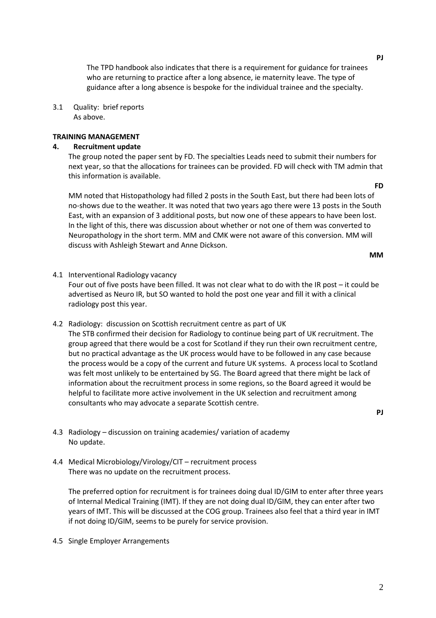The TPD handbook also indicates that there is a requirement for guidance for trainees who are returning to practice after a long absence, ie maternity leave. The type of guidance after a long absence is bespoke for the individual trainee and the specialty.

3.1 Quality: brief reports As above.

#### **TRAINING MANAGEMENT**

## **4. Recruitment update**

The group noted the paper sent by FD. The specialties Leads need to submit their numbers for next year, so that the allocations for trainees can be provided. FD will check with TM admin that this information is available.

MM noted that Histopathology had filled 2 posts in the South East, but there had been lots of no-shows due to the weather. It was noted that two years ago there were 13 posts in the South East, with an expansion of 3 additional posts, but now one of these appears to have been lost. In the light of this, there was discussion about whether or not one of them was converted to Neuropathology in the short term. MM and CMK were not aware of this conversion. MM will discuss with Ashleigh Stewart and Anne Dickson.

**MM** 

**PJ** 

4.1 Interventional Radiology vacancy

Four out of five posts have been filled. It was not clear what to do with the IR post – it could be advertised as Neuro IR, but SO wanted to hold the post one year and fill it with a clinical radiology post this year.

- 4.2 Radiology: discussion on Scottish recruitment centre as part of UK The STB confirmed their decision for Radiology to continue being part of UK recruitment. The group agreed that there would be a cost for Scotland if they run their own recruitment centre, but no practical advantage as the UK process would have to be followed in any case because the process would be a copy of the current and future UK systems. A process local to Scotland was felt most unlikely to be entertained by SG. The Board agreed that there might be lack of information about the recruitment process in some regions, so the Board agreed it would be helpful to facilitate more active involvement in the UK selection and recruitment among consultants who may advocate a separate Scottish centre.
- 4.3 Radiology discussion on training academies/ variation of academy No update.
- 4.4 Medical Microbiology/Virology/CIT recruitment process There was no update on the recruitment process.

 The preferred option for recruitment is for trainees doing dual ID/GIM to enter after three years of Internal Medical Training (IMT). If they are not doing dual ID/GIM, they can enter after two years of IMT. This will be discussed at the COG group. Trainees also feel that a third year in IMT if not doing ID/GIM, seems to be purely for service provision.

4.5 Single Employer Arrangements

# **FD**

**PJ**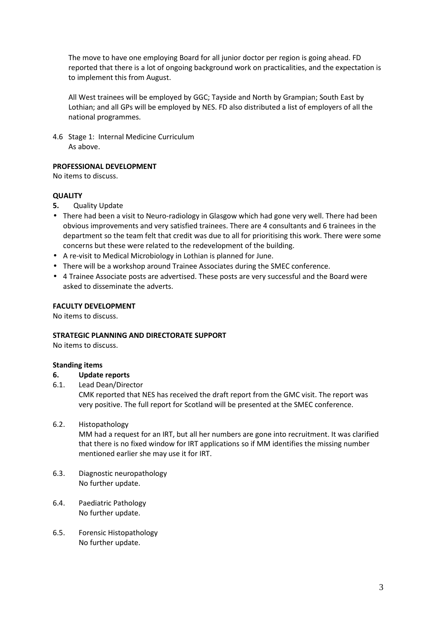The move to have one employing Board for all junior doctor per region is going ahead. FD reported that there is a lot of ongoing background work on practicalities, and the expectation is to implement this from August.

All West trainees will be employed by GGC; Tayside and North by Grampian; South East by Lothian; and all GPs will be employed by NES. FD also distributed a list of employers of all the national programmes.

4.6 Stage 1: Internal Medicine Curriculum As above.

## **PROFESSIONAL DEVELOPMENT**

No items to discuss.

## **QUALITY**

- **5.** Quality Update
- There had been a visit to Neuro-radiology in Glasgow which had gone very well. There had been obvious improvements and very satisfied trainees. There are 4 consultants and 6 trainees in the department so the team felt that credit was due to all for prioritising this work. There were some concerns but these were related to the redevelopment of the building.
- A re-visit to Medical Microbiology in Lothian is planned for June.
- There will be a workshop around Trainee Associates during the SMEC conference.
- 4 Trainee Associate posts are advertised. These posts are very successful and the Board were asked to disseminate the adverts.

## **FACULTY DEVELOPMENT**

No items to discuss.

## **STRATEGIC PLANNING AND DIRECTORATE SUPPORT**

No items to discuss.

## **Standing items**

## **6. Update reports**

6.1. Lead Dean/Director

CMK reported that NES has received the draft report from the GMC visit. The report was very positive. The full report for Scotland will be presented at the SMEC conference.

# 6.2. Histopathology

MM had a request for an IRT, but all her numbers are gone into recruitment. It was clarified that there is no fixed window for IRT applications so if MM identifies the missing number mentioned earlier she may use it for IRT.

- 6.3. Diagnostic neuropathology No further update.
- 6.4. Paediatric Pathology No further update.
- 6.5. Forensic Histopathology No further update.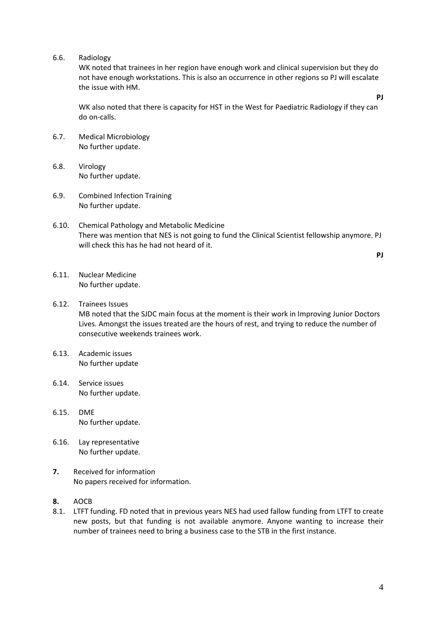6.6. Radiology

WK noted that trainees in her region have enough work and clinical supervision but they do not have enough workstations. This is also an occurrence in other regions so PJ will escalate the issue with HM.

WK also noted that there is capacity for HST in the West for Paediatric Radiology if they can do on-calls.

- 6.7. Medical Microbiology No further update.
- 6.8. Virology No further update.
- 6.9. Combined Infection Training No further update.
- 6.10. Chemical Pathology and Metabolic Medicine There was mention that NES is not going to fund the Clinical Scientist fellowship anymore. PJ will check this has he had not heard of it.

**PJ** 

**PJ** 

- 6.11. Nuclear Medicine No further update.
- 6.12. Trainees Issues MB noted that the SJDC main focus at the moment is their work in Improving Junior Doctors Lives. Amongst the issues treated are the hours of rest, and trying to reduce the number of consecutive weekends trainees work.
- 6.13. Academic issues No further update
- 6.14. Service issues No further update.
- 6.15. DME No further update.
- 6.16. Lay representative No further update.
- **7.** Received for information No papers received for information.
- **8.** AOCB
- 8.1. LTFT funding. FD noted that in previous years NES had used fallow funding from LTFT to create new posts, but that funding is not available anymore. Anyone wanting to increase their number of trainees need to bring a business case to the STB in the first instance.